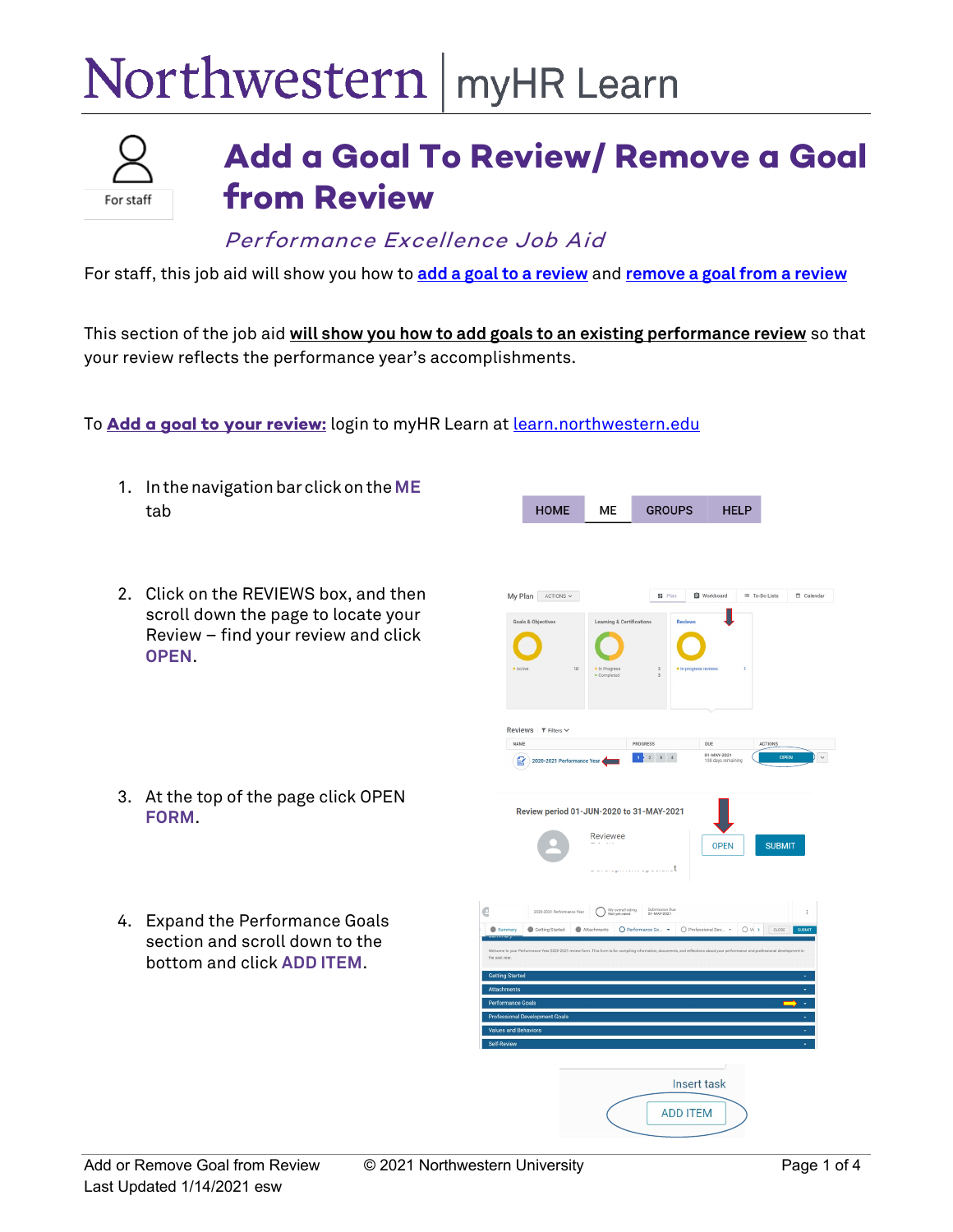## Northwestern | myHR Learn



## **Add a Goal To Review/ Remove a Goal from Review**

Performance Excellence Job Aid

For staff, this job aid will show you how to **[add a goal to a review](#page-0-0)** and **[remove a goal from a review](#page-2-0)**

This section of the job aid **will show you how to add goals to an existing performance review** so that your review reflects the performance year's accomplishments.

<span id="page-0-0"></span>To **Add a goal to your review:** login to myHR Learn at [learn.northwestern.edu](http://learn.northwestern.edu/)

| 1. | In the navigation bar click on the ME<br>tab                                                                                     |                                                                                                                                         | <b>HOME</b>                                                                              | <b>ME</b>                                                            | <b>GROUPS</b>                                                                       | <b>HELP</b>                                                                           |          |
|----|----------------------------------------------------------------------------------------------------------------------------------|-----------------------------------------------------------------------------------------------------------------------------------------|------------------------------------------------------------------------------------------|----------------------------------------------------------------------|-------------------------------------------------------------------------------------|---------------------------------------------------------------------------------------|----------|
| 2. | Click on the REVIEWS box, and then<br>scroll down the page to locate your<br>Review - find your review and click<br><b>OPEN.</b> | · Active                                                                                                                                | $My Plan$ ACTIONS $\sim$<br><b>Goals &amp; Objectives</b><br>10<br>Reviews   T Filters ~ | <b>Learning &amp; Certifications</b><br>· In Progress<br>· Completed | <b>H</b> Plan<br><b>Review:</b><br>· In-progress reviews<br>$\overline{\mathbf{3}}$ | <b>自</b> Workboard<br>≡ To-Do Lists                                                   | Calendar |
|    | 3. At the top of the page click OPEN<br><b>FORM.</b>                                                                             | NAME<br>B                                                                                                                               | 2020-2021 Performance Year<br>Review period 01-JUN-2020 to 31-MAY-2021                   | Reviewee                                                             | PROGRESS<br>$1 \t2 \t3 \t4$<br>- t                                                  | ACTIONS<br>DUE<br>01-MAY-2021<br>OPEN<br>108 days rem<br><b>OPEN</b><br><b>SUBMIT</b> |          |
| 4. | <b>Expand the Performance Goals</b><br>section and scroll down to the<br>bottom and click ADD ITEM.                              | the past year<br><b>Getting Started</b><br>Attachments<br><b>Performance Goals</b><br><b>Values and Behaviors</b><br><b>Self-Review</b> | 2020-2021 Performance Yea<br>Getting Started<br><b>Professional Development Goals</b>    | My overall rating                                                    | Submission Du<br>01-MAY-2021<br>Insert task<br><b>ADD ITEM</b>                      | Attachments O Performance Go . O Professional Dev . O Vi > CLOSE                      |          |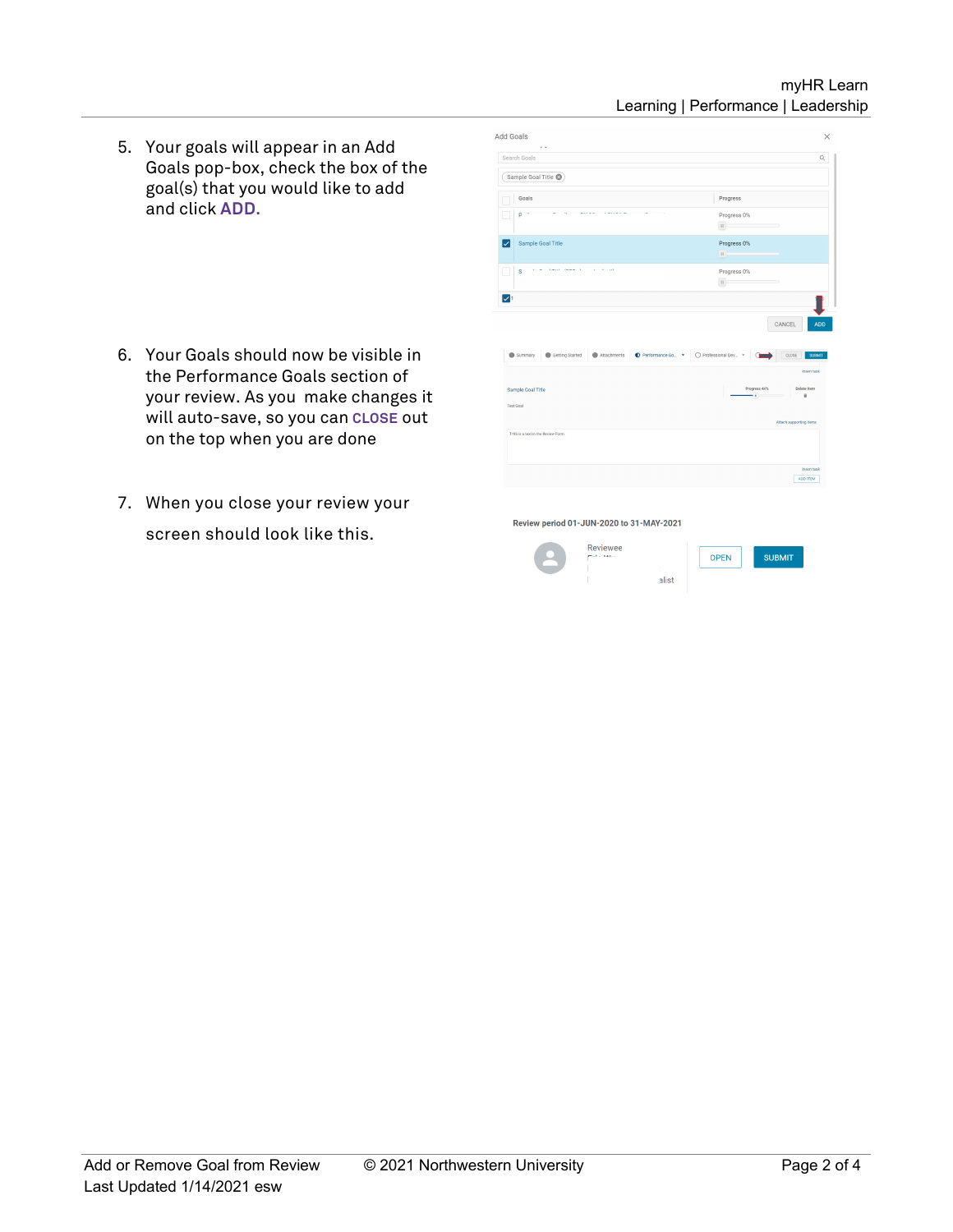## myHR Learn Learning | Performance | Leadership

5. Your goals will appear in an Add Goals pop-box, check the box of the goal(s) that you would like to add and click **ADD.**

- 6. Your Goals should now be visible in the Performance Goals section of your review. As you make changes it will auto-save, so you can **CLOSE** out on the top when you are done
- 7. When you close your review your screen should look like this.

| Search Goals               |                                   |             |                    |                    |                                  |
|----------------------------|-----------------------------------|-------------|--------------------|--------------------|----------------------------------|
|                            | Sample Goal Title                 |             |                    |                    |                                  |
|                            |                                   |             |                    |                    |                                  |
| Goals                      |                                   |             |                    | Progress           |                                  |
| ٢                          |                                   |             |                    | Progress 0%        |                                  |
|                            |                                   |             |                    | $\mathbf{H}$       | $\equiv$                         |
| lv                         | Sample Goal Title                 |             |                    | Progress 0%        |                                  |
|                            |                                   |             |                    | $\mathbf{u}$       |                                  |
| s                          | CHECK CARRIER CO., CA 1977        |             |                    | Progress 0%        |                                  |
|                            |                                   |             |                    | $\mathbf{H}$       |                                  |
|                            |                                   |             |                    |                    | ADD<br>CANCEL                    |
| $\triangledown$<br>Summary | Getting Started                   | Attachments | Performance Go., . | O Professional Dev | CLOSE<br><b>SUBMIT</b>           |
|                            |                                   |             |                    |                    | <b>Insert task</b>               |
| Sample Goal Title          |                                   |             |                    | ÷.                 | Progress 44%<br>Delete Item<br>B |
|                            |                                   |             |                    |                    |                                  |
| Test Goal                  |                                   |             |                    |                    | Attach supporting items          |
|                            | THIS is a text in the Review Form |             |                    |                    |                                  |
|                            |                                   |             |                    |                    |                                  |
|                            |                                   |             |                    |                    | Insert task                      |

alist

Review period 01-JUN-2020 to 31-MAY-2021

| <b>Reviewee</b> |
|-----------------|
|                 |

SUBMIT **OPEN**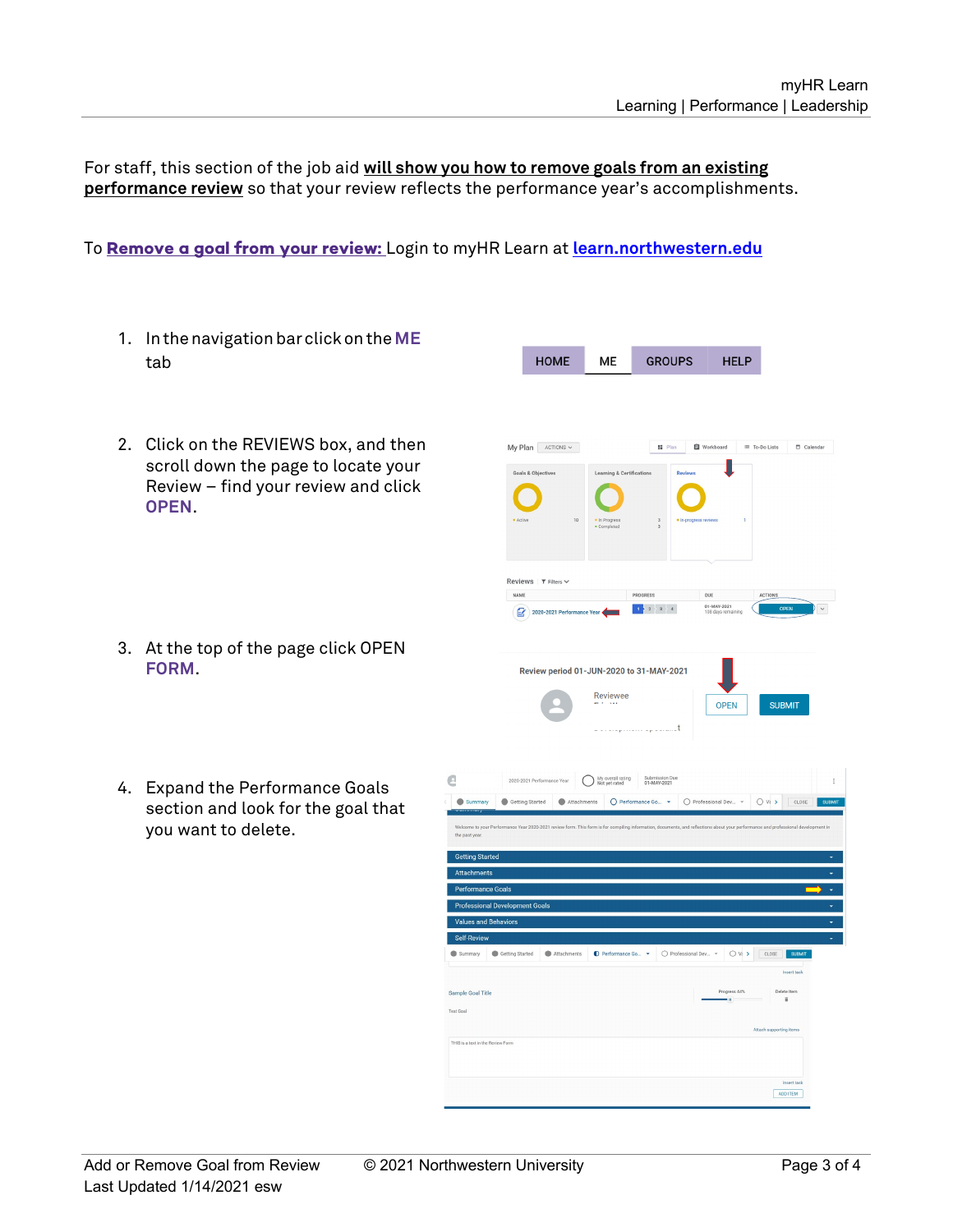For staff, this section of the job aid **will show you how to remove goals from an existing performance review** so that your review reflects the performance year's accomplishments.

## <span id="page-2-0"></span>To **Remove a goal from your review:** Login to myHR Learn at **[learn.northwestern.edu](http://learn.northwestern.edu/)**

1. Inthenavigationbarclickon the**ME** HOME **GROUPS ME HELP** tab 2. Click on the REVIEWS box, and then  $My Plan$  ACTIONS  $\sim$ **SE** Plan scroll down the page to locate your Review – find your review and click **OPEN**. Reviews | T Filters \ NAME  $\mid 1 \geq 2 \geq 3 \geq 4$  $2020 - 2021$  Pe 3. At the top of the page click OPEN **FORM**. Review period 01-JUN-2020 to 31-MAY-2021 Reviewee **SUBMIT OPEN** e 2020-2021 Performance Year My overall rating Submission Due 4. Expand the Performance Goals Getting Started Attachments O Performance Go. . O Professional Dev... . O Vi > CLOSE  $\bullet$ section and look for the goal that you want to delete.Values and Beh  $\bullet$ Sample Goal Title ADD ITEM